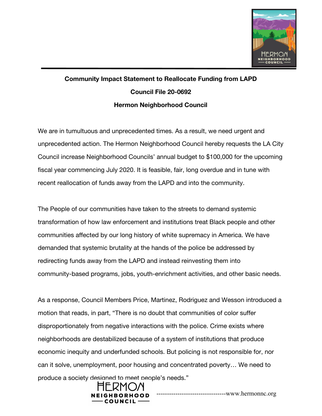

## **Community Impact Statement to Reallocate Funding from LAPD Council File 20-0692 Hermon Neighborhood Council**

We are in tumultuous and unprecedented times. As a result, we need urgent and unprecedented action. The Hermon Neighborhood Council hereby requests the LA City Council increase Neighborhood Councils' annual budget to \$100,000 for the upcoming fiscal year commencing July 2020. It is feasible, fair, long overdue and in tune with recent reallocation of funds away from the LAPD and into the community.

The People of our communities have taken to the streets to demand systemic transformation of how law enforcement and institutions treat Black people and other communities affected by our long history of white supremacy in America. We have demanded that systemic brutality at the hands of the police be addressed by redirecting funds away from the LAPD and instead reinvesting them into community-based programs, jobs, youth-enrichment activities, and other basic needs.

As a response, Council Members Price, Martinez, Rodriguez and Wesson introduced a motion that reads, in part, "There is no doubt that communities of color suffer disproportionately from negative interactions with the police. Crime exists where neighborhoods are destabilized because of a system of institutions that produce economic inequity and underfunded schools. But policing is not responsible for, nor can it solve, unemployment, poor housing and concentrated poverty… We need to produce a society designed to meet people's needs."



---------------------------------www.hermonnc.org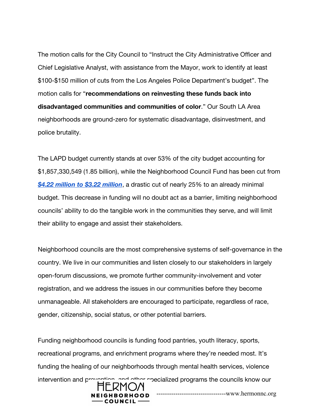The motion calls for the City Council to "Instruct the City Administrative Officer and Chief Legislative Analyst, with assistance from the Mayor, work to identify at least \$100-\$150 million of cuts from the Los Angeles Police Department's budget". The motion calls for "**recommendations on reinvesting these funds back into disadvantaged communities and communities of color**." Our South LA Area neighborhoods are ground-zero for systematic disadvantage, disinvestment, and police brutality.

The LAPD budget currently stands at over 53% of the city budget accounting for \$1,857,330,549 (1.85 billion), while the Neighborhood Council Fund has been cut from *[\\$4.22 million to \\$3.22 million](http://openbudget.lacity.org/#!/year/2021/operating/0/program_name/Neighborhood+Council+Fund/0/program_priority?vis=barChart)*, a drastic cut of nearly 25% to an already minimal budget. This decrease in funding will no doubt act as a barrier, limiting neighborhood councils' ability to do the tangible work in the communities they serve, and will limit their ability to engage and assist their stakeholders.

Neighborhood councils are the most comprehensive systems of self-governance in the country. We live in our communities and listen closely to our stakeholders in largely open-forum discussions, we promote further community-involvement and voter registration, and we address the issues in our communities before they become unmanageable. All stakeholders are encouraged to participate, regardless of race, gender, citizenship, social status, or other potential barriers.

Funding neighborhood councils is funding food pantries, youth literacy, sports, recreational programs, and enrichment programs where they're needed most. It's funding the healing of our neighborhoods through mental health services, violence intervention and prevention, and other specialized programs the councils know our ---------------------------------www.hermonnc.org**HOOD**